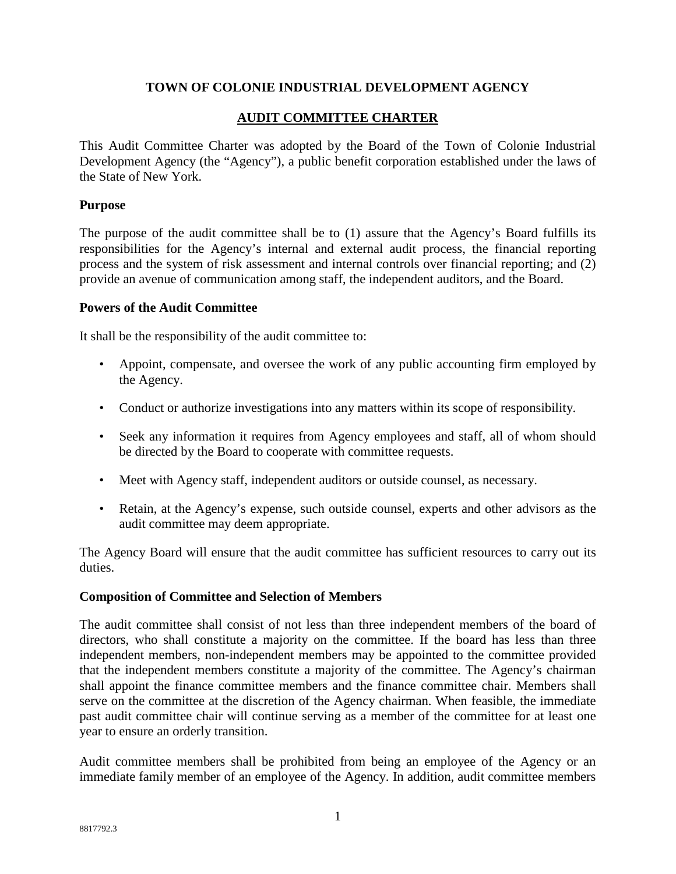### **TOWN OF COLONIE INDUSTRIAL DEVELOPMENT AGENCY**

## **AUDIT COMMITTEE CHARTER**

This Audit Committee Charter was adopted by the Board of the Town of Colonie Industrial Development Agency (the "Agency"), a public benefit corporation established under the laws of the State of New York.

#### **Purpose**

The purpose of the audit committee shall be to (1) assure that the Agency's Board fulfills its responsibilities for the Agency's internal and external audit process, the financial reporting process and the system of risk assessment and internal controls over financial reporting; and (2) provide an avenue of communication among staff, the independent auditors, and the Board.

#### **Powers of the Audit Committee**

It shall be the responsibility of the audit committee to:

- Appoint, compensate, and oversee the work of any public accounting firm employed by the Agency.
- Conduct or authorize investigations into any matters within its scope of responsibility.
- Seek any information it requires from Agency employees and staff, all of whom should be directed by the Board to cooperate with committee requests.
- Meet with Agency staff, independent auditors or outside counsel, as necessary.
- Retain, at the Agency's expense, such outside counsel, experts and other advisors as the audit committee may deem appropriate.

The Agency Board will ensure that the audit committee has sufficient resources to carry out its duties.

#### **Composition of Committee and Selection of Members**

The audit committee shall consist of not less than three independent members of the board of directors, who shall constitute a majority on the committee. If the board has less than three independent members, non-independent members may be appointed to the committee provided that the independent members constitute a majority of the committee. The Agency's chairman shall appoint the finance committee members and the finance committee chair. Members shall serve on the committee at the discretion of the Agency chairman. When feasible, the immediate past audit committee chair will continue serving as a member of the committee for at least one year to ensure an orderly transition.

Audit committee members shall be prohibited from being an employee of the Agency or an immediate family member of an employee of the Agency. In addition, audit committee members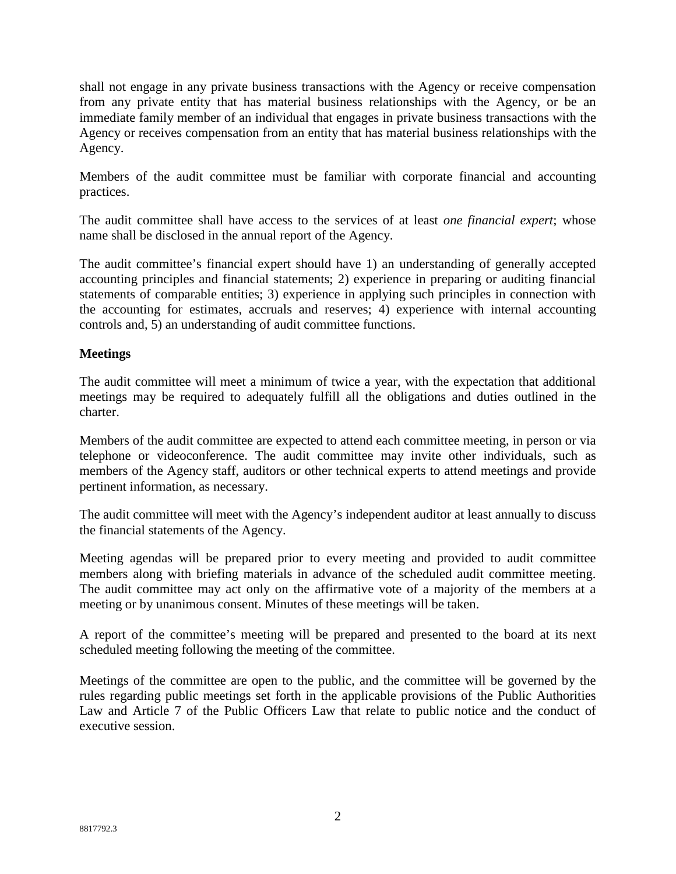shall not engage in any private business transactions with the Agency or receive compensation from any private entity that has material business relationships with the Agency, or be an immediate family member of an individual that engages in private business transactions with the Agency or receives compensation from an entity that has material business relationships with the Agency.

Members of the audit committee must be familiar with corporate financial and accounting practices.

The audit committee shall have access to the services of at least *one financial expert*; whose name shall be disclosed in the annual report of the Agency.

The audit committee's financial expert should have 1) an understanding of generally accepted accounting principles and financial statements; 2) experience in preparing or auditing financial statements of comparable entities; 3) experience in applying such principles in connection with the accounting for estimates, accruals and reserves; 4) experience with internal accounting controls and, 5) an understanding of audit committee functions.

### **Meetings**

The audit committee will meet a minimum of twice a year, with the expectation that additional meetings may be required to adequately fulfill all the obligations and duties outlined in the charter.

Members of the audit committee are expected to attend each committee meeting, in person or via telephone or videoconference. The audit committee may invite other individuals, such as members of the Agency staff, auditors or other technical experts to attend meetings and provide pertinent information, as necessary.

The audit committee will meet with the Agency's independent auditor at least annually to discuss the financial statements of the Agency.

Meeting agendas will be prepared prior to every meeting and provided to audit committee members along with briefing materials in advance of the scheduled audit committee meeting. The audit committee may act only on the affirmative vote of a majority of the members at a meeting or by unanimous consent. Minutes of these meetings will be taken.

A report of the committee's meeting will be prepared and presented to the board at its next scheduled meeting following the meeting of the committee.

Meetings of the committee are open to the public, and the committee will be governed by the rules regarding public meetings set forth in the applicable provisions of the Public Authorities Law and Article 7 of the Public Officers Law that relate to public notice and the conduct of executive session.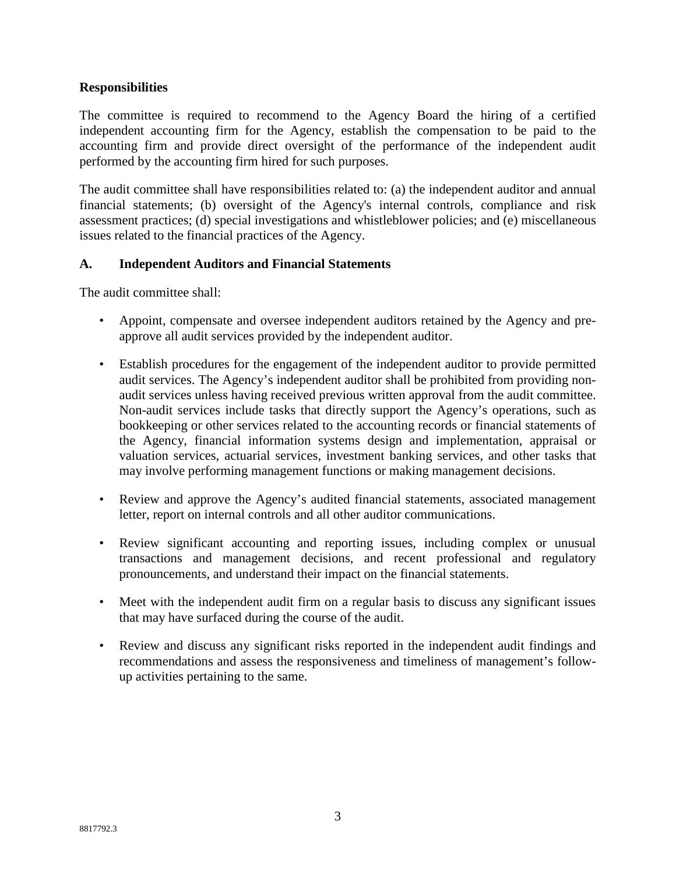### **Responsibilities**

The committee is required to recommend to the Agency Board the hiring of a certified independent accounting firm for the Agency, establish the compensation to be paid to the accounting firm and provide direct oversight of the performance of the independent audit performed by the accounting firm hired for such purposes.

The audit committee shall have responsibilities related to: (a) the independent auditor and annual financial statements; (b) oversight of the Agency's internal controls, compliance and risk assessment practices; (d) special investigations and whistleblower policies; and (e) miscellaneous issues related to the financial practices of the Agency.

### **A. Independent Auditors and Financial Statements**

The audit committee shall:

- Appoint, compensate and oversee independent auditors retained by the Agency and preapprove all audit services provided by the independent auditor.
- Establish procedures for the engagement of the independent auditor to provide permitted audit services. The Agency's independent auditor shall be prohibited from providing nonaudit services unless having received previous written approval from the audit committee. Non-audit services include tasks that directly support the Agency's operations, such as bookkeeping or other services related to the accounting records or financial statements of the Agency, financial information systems design and implementation, appraisal or valuation services, actuarial services, investment banking services, and other tasks that may involve performing management functions or making management decisions.
- Review and approve the Agency's audited financial statements, associated management letter, report on internal controls and all other auditor communications.
- Review significant accounting and reporting issues, including complex or unusual transactions and management decisions, and recent professional and regulatory pronouncements, and understand their impact on the financial statements.
- Meet with the independent audit firm on a regular basis to discuss any significant issues that may have surfaced during the course of the audit.
- Review and discuss any significant risks reported in the independent audit findings and recommendations and assess the responsiveness and timeliness of management's followup activities pertaining to the same.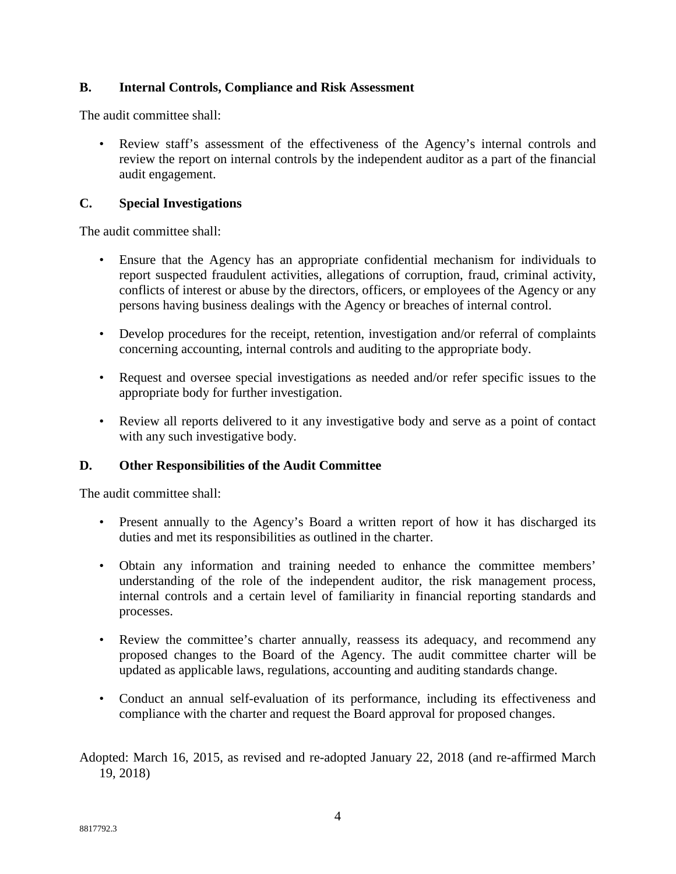## **B. Internal Controls, Compliance and Risk Assessment**

The audit committee shall:

• Review staff's assessment of the effectiveness of the Agency's internal controls and review the report on internal controls by the independent auditor as a part of the financial audit engagement.

### **C. Special Investigations**

The audit committee shall:

- Ensure that the Agency has an appropriate confidential mechanism for individuals to report suspected fraudulent activities, allegations of corruption, fraud, criminal activity, conflicts of interest or abuse by the directors, officers, or employees of the Agency or any persons having business dealings with the Agency or breaches of internal control.
- Develop procedures for the receipt, retention, investigation and/or referral of complaints concerning accounting, internal controls and auditing to the appropriate body.
- Request and oversee special investigations as needed and/or refer specific issues to the appropriate body for further investigation.
- Review all reports delivered to it any investigative body and serve as a point of contact with any such investigative body.

## **D. Other Responsibilities of the Audit Committee**

The audit committee shall:

- Present annually to the Agency's Board a written report of how it has discharged its duties and met its responsibilities as outlined in the charter.
- Obtain any information and training needed to enhance the committee members' understanding of the role of the independent auditor, the risk management process, internal controls and a certain level of familiarity in financial reporting standards and processes.
- Review the committee's charter annually, reassess its adequacy, and recommend any proposed changes to the Board of the Agency. The audit committee charter will be updated as applicable laws, regulations, accounting and auditing standards change.
- Conduct an annual self-evaluation of its performance, including its effectiveness and compliance with the charter and request the Board approval for proposed changes.

Adopted: March 16, 2015, as revised and re-adopted January 22, 2018 (and re-affirmed March 19, 2018)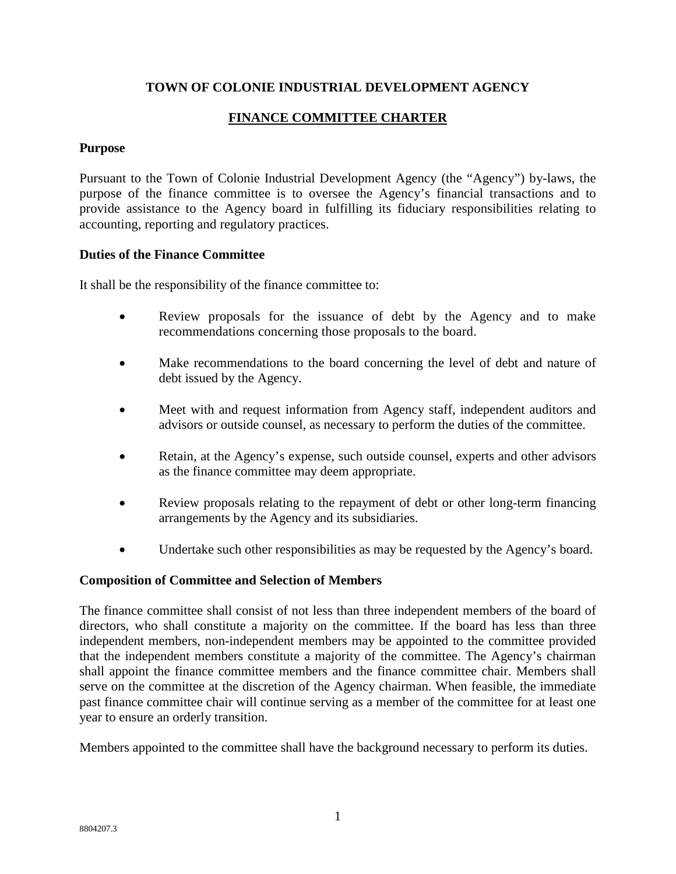## **TOWN OF COLONIE INDUSTRIAL DEVELOPMENT AGENCY**

# **FINANCE COMMITTEE CHARTER**

### **Purpose**

Pursuant to the Town of Colonie Industrial Development Agency (the "Agency") by-laws, the purpose of the finance committee is to oversee the Agency's financial transactions and to provide assistance to the Agency board in fulfilling its fiduciary responsibilities relating to accounting, reporting and regulatory practices.

#### **Duties of the Finance Committee**

It shall be the responsibility of the finance committee to:

- Review proposals for the issuance of debt by the Agency and to make recommendations concerning those proposals to the board.
- Make recommendations to the board concerning the level of debt and nature of debt issued by the Agency.
- Meet with and request information from Agency staff, independent auditors and advisors or outside counsel, as necessary to perform the duties of the committee.
- Retain, at the Agency's expense, such outside counsel, experts and other advisors as the finance committee may deem appropriate.
- Review proposals relating to the repayment of debt or other long-term financing arrangements by the Agency and its subsidiaries.
- Undertake such other responsibilities as may be requested by the Agency's board.

#### **Composition of Committee and Selection of Members**

The finance committee shall consist of not less than three independent members of the board of directors, who shall constitute a majority on the committee. If the board has less than three independent members, non-independent members may be appointed to the committee provided that the independent members constitute a majority of the committee. The Agency's chairman shall appoint the finance committee members and the finance committee chair. Members shall serve on the committee at the discretion of the Agency chairman. When feasible, the immediate past finance committee chair will continue serving as a member of the committee for at least one year to ensure an orderly transition.

Members appointed to the committee shall have the background necessary to perform its duties.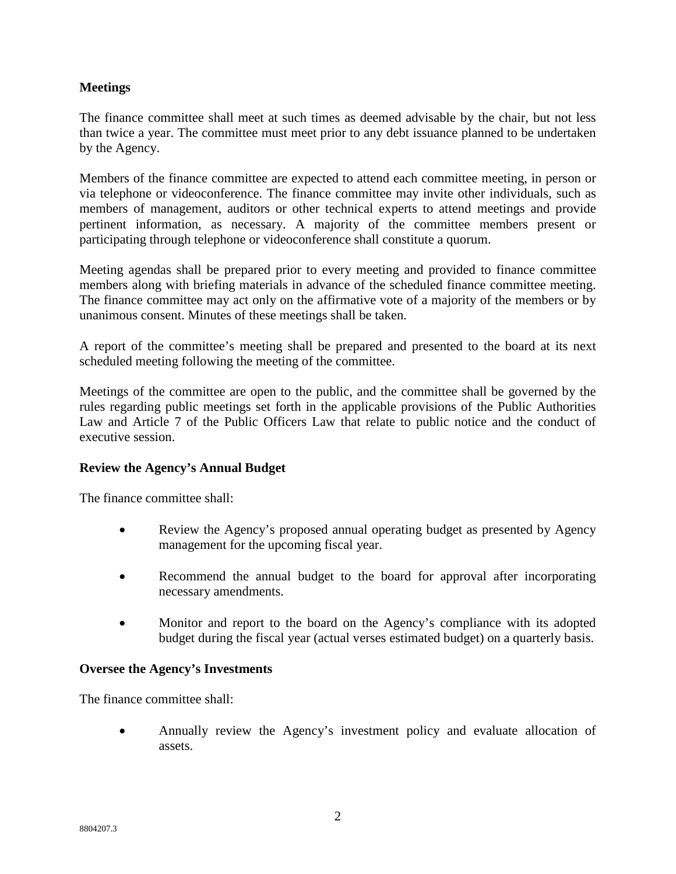### **Meetings**

The finance committee shall meet at such times as deemed advisable by the chair, but not less than twice a year. The committee must meet prior to any debt issuance planned to be undertaken by the Agency.

Members of the finance committee are expected to attend each committee meeting, in person or via telephone or videoconference. The finance committee may invite other individuals, such as members of management, auditors or other technical experts to attend meetings and provide pertinent information, as necessary. A majority of the committee members present or participating through telephone or videoconference shall constitute a quorum.

Meeting agendas shall be prepared prior to every meeting and provided to finance committee members along with briefing materials in advance of the scheduled finance committee meeting. The finance committee may act only on the affirmative vote of a majority of the members or by unanimous consent. Minutes of these meetings shall be taken.

A report of the committee's meeting shall be prepared and presented to the board at its next scheduled meeting following the meeting of the committee.

Meetings of the committee are open to the public, and the committee shall be governed by the rules regarding public meetings set forth in the applicable provisions of the Public Authorities Law and Article 7 of the Public Officers Law that relate to public notice and the conduct of executive session.

## **Review the Agency's Annual Budget**

The finance committee shall:

- Review the Agency's proposed annual operating budget as presented by Agency management for the upcoming fiscal year.
- Recommend the annual budget to the board for approval after incorporating necessary amendments.
- Monitor and report to the board on the Agency's compliance with its adopted budget during the fiscal year (actual verses estimated budget) on a quarterly basis.

#### **Oversee the Agency's Investments**

The finance committee shall:

• Annually review the Agency's investment policy and evaluate allocation of assets.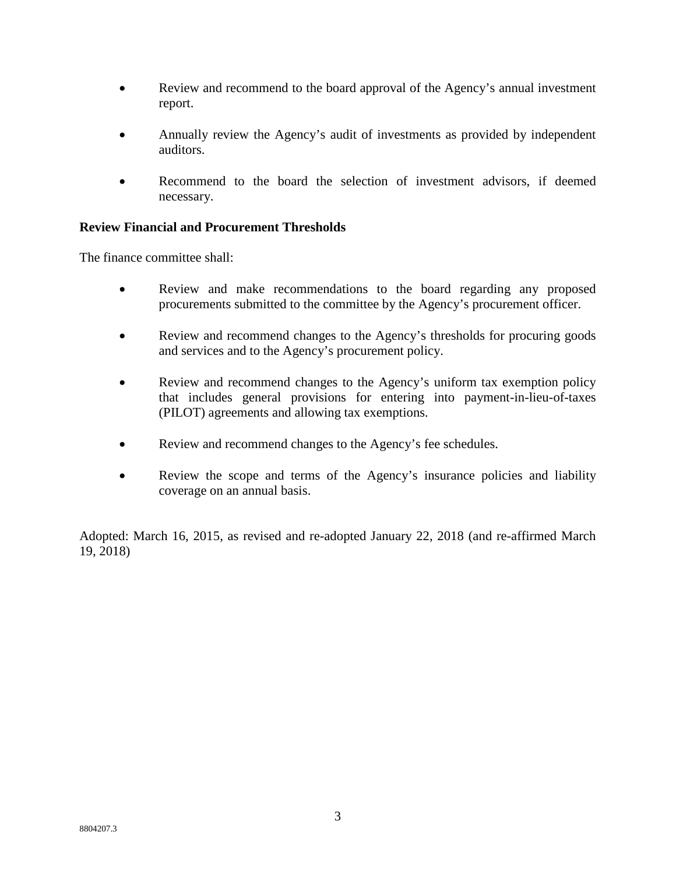- Review and recommend to the board approval of the Agency's annual investment report.
- Annually review the Agency's audit of investments as provided by independent auditors.
- Recommend to the board the selection of investment advisors, if deemed necessary.

## **Review Financial and Procurement Thresholds**

The finance committee shall:

- Review and make recommendations to the board regarding any proposed procurements submitted to the committee by the Agency's procurement officer.
- Review and recommend changes to the Agency's thresholds for procuring goods and services and to the Agency's procurement policy.
- Review and recommend changes to the Agency's uniform tax exemption policy that includes general provisions for entering into payment-in-lieu-of-taxes (PILOT) agreements and allowing tax exemptions.
- Review and recommend changes to the Agency's fee schedules.
- Review the scope and terms of the Agency's insurance policies and liability coverage on an annual basis.

Adopted: March 16, 2015, as revised and re-adopted January 22, 2018 (and re-affirmed March 19, 2018)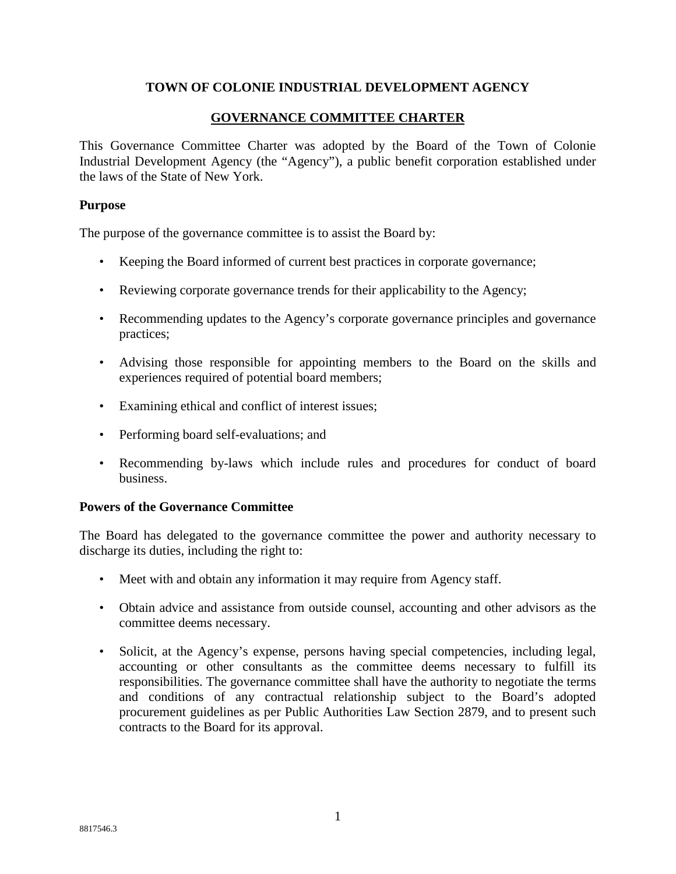### **TOWN OF COLONIE INDUSTRIAL DEVELOPMENT AGENCY**

### **GOVERNANCE COMMITTEE CHARTER**

This Governance Committee Charter was adopted by the Board of the Town of Colonie Industrial Development Agency (the "Agency"), a public benefit corporation established under the laws of the State of New York.

#### **Purpose**

The purpose of the governance committee is to assist the Board by:

- Keeping the Board informed of current best practices in corporate governance;
- Reviewing corporate governance trends for their applicability to the Agency;
- Recommending updates to the Agency's corporate governance principles and governance practices;
- Advising those responsible for appointing members to the Board on the skills and experiences required of potential board members;
- Examining ethical and conflict of interest issues;
- Performing board self-evaluations; and
- Recommending by-laws which include rules and procedures for conduct of board business.

#### **Powers of the Governance Committee**

The Board has delegated to the governance committee the power and authority necessary to discharge its duties, including the right to:

- Meet with and obtain any information it may require from Agency staff.
- Obtain advice and assistance from outside counsel, accounting and other advisors as the committee deems necessary.
- Solicit, at the Agency's expense, persons having special competencies, including legal, accounting or other consultants as the committee deems necessary to fulfill its responsibilities. The governance committee shall have the authority to negotiate the terms and conditions of any contractual relationship subject to the Board's adopted procurement guidelines as per Public Authorities Law Section 2879, and to present such contracts to the Board for its approval.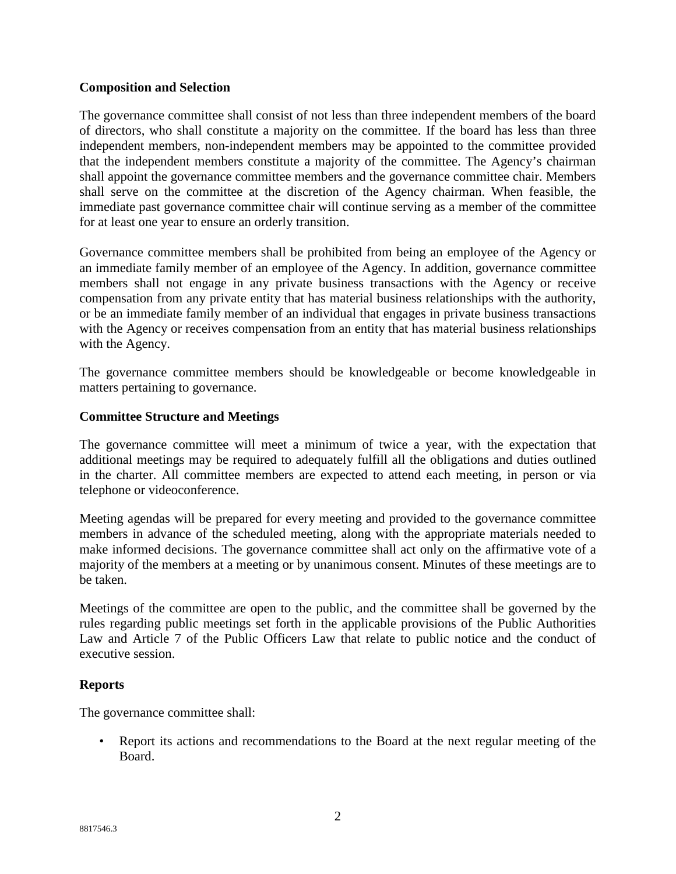### **Composition and Selection**

The governance committee shall consist of not less than three independent members of the board of directors, who shall constitute a majority on the committee. If the board has less than three independent members, non-independent members may be appointed to the committee provided that the independent members constitute a majority of the committee. The Agency's chairman shall appoint the governance committee members and the governance committee chair. Members shall serve on the committee at the discretion of the Agency chairman. When feasible, the immediate past governance committee chair will continue serving as a member of the committee for at least one year to ensure an orderly transition.

Governance committee members shall be prohibited from being an employee of the Agency or an immediate family member of an employee of the Agency. In addition, governance committee members shall not engage in any private business transactions with the Agency or receive compensation from any private entity that has material business relationships with the authority, or be an immediate family member of an individual that engages in private business transactions with the Agency or receives compensation from an entity that has material business relationships with the Agency.

The governance committee members should be knowledgeable or become knowledgeable in matters pertaining to governance.

### **Committee Structure and Meetings**

The governance committee will meet a minimum of twice a year, with the expectation that additional meetings may be required to adequately fulfill all the obligations and duties outlined in the charter. All committee members are expected to attend each meeting, in person or via telephone or videoconference.

Meeting agendas will be prepared for every meeting and provided to the governance committee members in advance of the scheduled meeting, along with the appropriate materials needed to make informed decisions. The governance committee shall act only on the affirmative vote of a majority of the members at a meeting or by unanimous consent. Minutes of these meetings are to be taken.

Meetings of the committee are open to the public, and the committee shall be governed by the rules regarding public meetings set forth in the applicable provisions of the Public Authorities Law and Article 7 of the Public Officers Law that relate to public notice and the conduct of executive session.

## **Reports**

The governance committee shall:

• Report its actions and recommendations to the Board at the next regular meeting of the Board.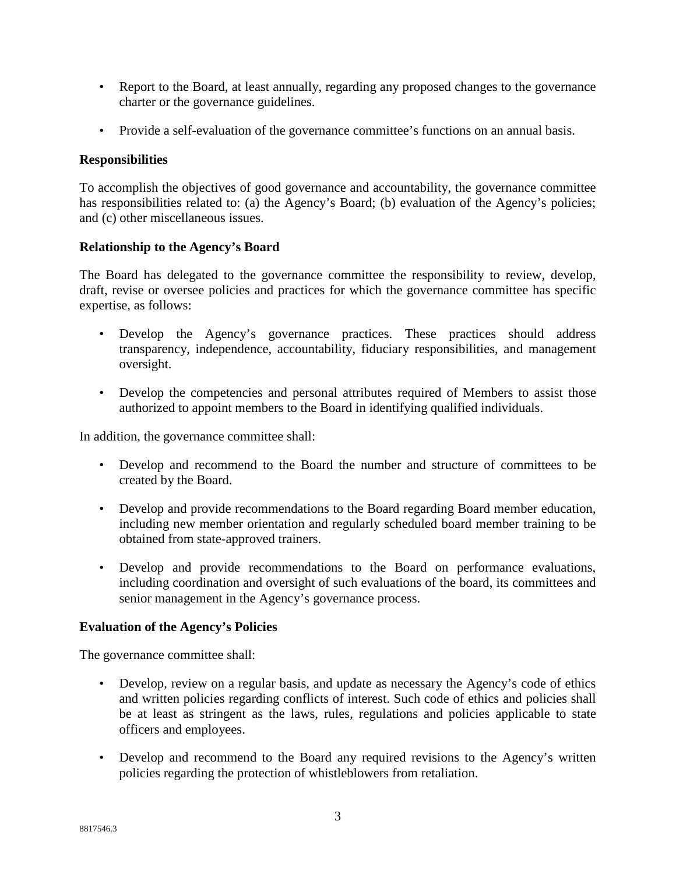- Report to the Board, at least annually, regarding any proposed changes to the governance charter or the governance guidelines.
- Provide a self-evaluation of the governance committee's functions on an annual basis.

## **Responsibilities**

To accomplish the objectives of good governance and accountability, the governance committee has responsibilities related to: (a) the Agency's Board; (b) evaluation of the Agency's policies; and (c) other miscellaneous issues.

## **Relationship to the Agency's Board**

The Board has delegated to the governance committee the responsibility to review, develop, draft, revise or oversee policies and practices for which the governance committee has specific expertise, as follows:

- Develop the Agency's governance practices. These practices should address transparency, independence, accountability, fiduciary responsibilities, and management oversight.
- Develop the competencies and personal attributes required of Members to assist those authorized to appoint members to the Board in identifying qualified individuals.

In addition, the governance committee shall:

- Develop and recommend to the Board the number and structure of committees to be created by the Board.
- Develop and provide recommendations to the Board regarding Board member education, including new member orientation and regularly scheduled board member training to be obtained from state-approved trainers.
- Develop and provide recommendations to the Board on performance evaluations, including coordination and oversight of such evaluations of the board, its committees and senior management in the Agency's governance process.

## **Evaluation of the Agency's Policies**

The governance committee shall:

- Develop, review on a regular basis, and update as necessary the Agency's code of ethics and written policies regarding conflicts of interest. Such code of ethics and policies shall be at least as stringent as the laws, rules, regulations and policies applicable to state officers and employees.
- Develop and recommend to the Board any required revisions to the Agency's written policies regarding the protection of whistleblowers from retaliation.